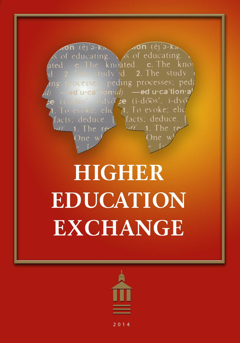

# **HIGHER EDUCATION EXCHANGE**

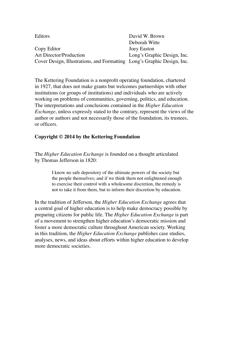| Editors                                                                 | David W. Brown              |
|-------------------------------------------------------------------------|-----------------------------|
|                                                                         | Deborah Witte               |
| Copy Editor                                                             | Joey Easton                 |
| Art Director/Production                                                 | Long's Graphic Design, Inc. |
| Cover Design, Illustrations, and Formatting Long's Graphic Design, Inc. |                             |

The Kettering Foundation is a nonprofit operating foundation, chartered in 1927, that does not make grants but welcomes partnerships with other institutions (or groups of institutions) and individuals who are actively working on problems of communities, governing, politics, and education. The interpretations and conclusions contained in the *Higher Education Exchange*, unless expressly stated to the contrary, represent the views of the author or authors and not necessarily those of the foundation, its trustees, or officers.

#### **Copyright © 2014 by the Kettering Foundation**

The *Higher Education Exchange* is founded on a thought articulated by Thomas Jefferson in 1820:

> I know no safe depository of the ultimate powers of the society but the people themselves; and if we think them not enlightened enough to exercise their control with a wholesome discretion, the remedy is not to take it from them, but to inform their discretion by education.

In the tradition of Jefferson, the *Higher Education Exchange* agrees that a central goal of higher education is to help make democracy possible by preparing citizens for public life. The *Higher Education Exchange* is part of a movement to strengthen higher education's democratic mission and foster a more democratic culture throughout American society. Working in this tradition, the *Higher Education Exchange* publishes case studies, analyses, news, and ideas about efforts within higher education to develop more democratic societies.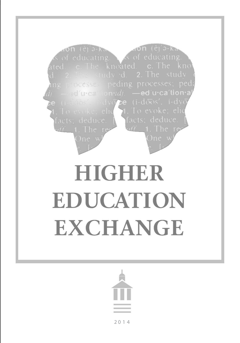

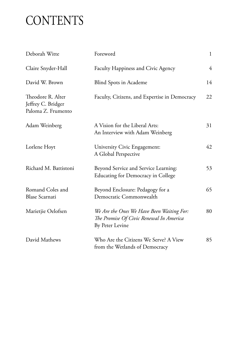## **CONTENTS**

| Deborah Witte                                                 | Foreword                                                                                                | $\mathbf{1}$   |
|---------------------------------------------------------------|---------------------------------------------------------------------------------------------------------|----------------|
| Claire Snyder-Hall                                            | Faculty Happiness and Civic Agency                                                                      | $\overline{4}$ |
| David W. Brown                                                | <b>Blind Spots in Academe</b>                                                                           | 14             |
| Theodore R. Alter<br>Jeffrey C. Bridger<br>Paloma Z. Frumento | Faculty, Citizens, and Expertise in Democracy                                                           | 22             |
| Adam Weinberg                                                 | A Vision for the Liberal Arts:<br>An Interview with Adam Weinberg                                       | 31             |
| Lorlene Hoyt                                                  | University Civic Engagement:<br>A Global Perspective                                                    | 42             |
| Richard M. Battistoni                                         | Beyond Service and Service Learning:<br><b>Educating for Democracy in College</b>                       | 53             |
| Romand Coles and<br><b>Blase Scarnati</b>                     | Beyond Enclosure: Pedagogy for a<br>Democratic Commonwealth                                             | 65             |
| Marietjie Oelofsen                                            | We Are the Ones We Have Been Waiting For:<br>The Promise Of Civic Renewal In America<br>By Peter Levine | 80             |
| David Mathews                                                 | Who Are the Citizens We Serve? A View<br>from the Wetlands of Democracy                                 | 85             |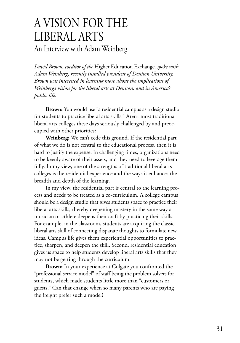### A VISION FOR THE LIBERAL ARTS

An Interview with Adam Weinberg

*David Brown, coeditor of the* Higher Education Exchange*, spoke with Adam Weinberg, recently installed president of Denison University. Brown was interested in learning more about the implications of Weinberg's vision for the liberal arts at Denison, and in America's public life.*

**Brown:** You would use "a residential campus as a design studio for students to practice liberal arts skills." Aren't most traditional liberal arts colleges these days seriously challenged by and preoccupied with other priorities?

**Weinberg:** We can't cede this ground. If the residential part of what we do is not central to the educational process, then it is hard to justify the expense. In challenging times, organizations need to be keenly aware of their assets, and they need to leverage them fully. In my view, one of the strengths of traditional liberal arts colleges is the residential experience and the ways it enhances the breadth and depth of the learning.

In my view, the residential part is central to the learning process and needs to be treated as a co-curriculum. A college campus should be a design studio that gives students space to practice their liberal arts skills, thereby deepening mastery in the same way a musician or athlete deepens their craft by practicing their skills. For example, in the classroom, students are acquiring the classic liberal arts skill of connecting disparate thoughts to formulate new ideas. Campus life gives them experiential opportunities to practice, sharpen, and deepen the skill. Second, residential education gives us space to help students develop liberal arts skills that they may not be getting through the curriculum.

**Brown:** In your experience at Colgate you confronted the "professional service model" of staff being the problem solvers for students, which made students little more than "customers or guests." Can that change when so many parents who are paying the freight prefer such a model?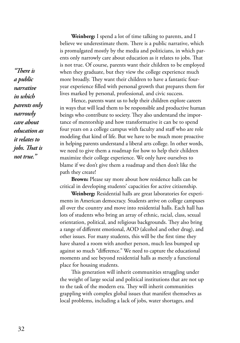*"There is a public narrative in which parents only narrowly care about education as it relates to jobs. That is not true."* 

**Weinberg:** I spend a lot of time talking to parents, and I believe we underestimate them. There is a public narrative, which is promulgated mostly by the media and politicians, in which parents only narrowly care about education as it relates to jobs. That is not true. Of course, parents want their children to be employed when they graduate, but they view the college experience much more broadly. They want their children to have a fantastic fouryear experience filled with personal growth that prepares them for lives marked by personal, professional, and civic success.

Hence, parents want us to help their children explore careers in ways that will lead them to be responsible and productive human beings who contribute to society. They also understand the importance of mentorship and how transformative it can be to spend four years on a college campus with faculty and staff who are role modeling that kind of life. But we have to be much more proactive in helping parents understand a liberal arts college. In other words, we need to give them a roadmap for how to help their children maximize their college experience. We only have ourselves to blame if we don't give them a roadmap and then don't like the path they create!

**Brown:** Please say more about how residence halls can be critical in developing students' capacities for active citizenship.

**Weinberg:** Residential halls are great laboratories for experiments in American democracy. Students arrive on college campuses all over the country and move into residential halls. Each hall has lots of students who bring an array of ethnic, racial, class, sexual orientation, political, and religious backgrounds. They also bring a range of different emotional, AOD (alcohol and other drug), and other issues. For many students, this will be the first time they have shared a room with another person, much less bumped up against so much "difference." We need to capture the educational moments and see beyond residential halls as merely a functional place for housing students.

This generation will inherit communities struggling under the weight of large social and political institutions that are not up to the task of the modern era. They will inherit communities grappling with complex global issues that manifest themselves as local problems, including a lack of jobs, water shortages, and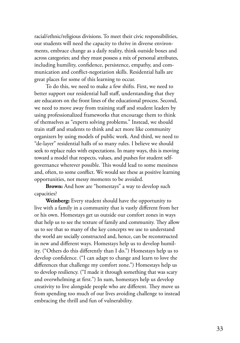racial/ethnic/religious divisions. To meet their civic responsibilities, our students will need the capacity to thrive in diverse environments, embrace change as a daily reality, think outside boxes and across categories; and they must possess a mix of personal attributes, including humility, confidence, persistence, empathy, and communication and conflict-negotiation skills. Residential halls are great places for some of this learning to occur.

To do this, we need to make a few shifts. First, we need to better support our residential hall staff, understanding that they are educators on the front lines of the educational process. Second, we need to move away from training staff and student leaders by using professionalized frameworks that encourage them to think of themselves as "experts solving problems." Instead, we should train staff and students to think and act more like community organizers by using models of public work. And third, we need to "de-layer" residential halls of so many rules. I believe we should seek to replace rules with expectations. In many ways, this is moving toward a model that respects, values, and pushes for student selfgovernance wherever possible. This would lead to some messiness and, often, to some conflict. We would see these as positive learning opportunities, not messy moments to be avoided.

**Brown:** And how are "homestays" a way to develop such capacities?

**Weinberg:** Every student should have the opportunity to live with a family in a community that is vastly different from her or his own. Homestays get us outside our comfort zones in ways that help us to see the texture of family and community. They allow us to see that so many of the key concepts we use to understand the world are socially constructed and, hence, can be reconstructed in new and different ways. Homestays help us to develop humility. ("Others do this differently than I do.") Homestays help us to develop confidence. ("I can adapt to change and learn to love the differences that challenge my comfort zone.") Homestays help us to develop resiliency. ("I made it through something that was scary and overwhelming at first.") In sum, homestays help us develop creativity to live alongside people who are different. They move us from spending too much of our lives avoiding challenge to instead embracing the thrill and fun of vulnerability.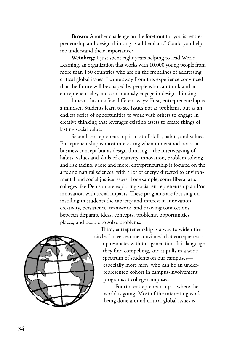**Brown:** Another challenge on the forefront for you is "entrepreneurship and design thinking as a liberal art." Could you help me understand their importance?

**Weinberg:** I just spent eight years helping to lead World Learning, an organization that works with 10,000 young people from more than 150 countries who are on the frontlines of addressing critical global issues. I came away from this experience convinced that the future will be shaped by people who can think and act entrepreneurially, and continuously engage in design thinking.

I mean this in a few different ways: First, entrepreneurship is a mindset. Students learn to see issues not as problems, but as an endless series of opportunities to work with others to engage in creative thinking that leverages existing assets to create things of lasting social value.

Second, entrepreneurship is a set of skills, habits, and values. Entrepreneurship is most interesting when understood not as a business concept but as design thinking—the interweaving of habits, values and skills of creativity, innovation, problem solving, and risk taking. More and more, entrepreneurship is focused on the arts and natural sciences, with a lot of energy directed to environmental and social justice issues. For example, some liberal arts colleges like Denison are exploring social entrepreneurship and/or innovation with social impacts. These programs are focusing on instilling in students the capacity and interest in innovation, creativity, persistence, teamwork, and drawing connections between disparate ideas, concepts, problems, opportunities, places, and people to solve problems.



Third, entrepreneurship is a way to widen the circle. I have become convinced that entrepreneurship resonates with this generation. It is language they find compelling, and it pulls in a wide spectrum of students on our campuses especially more men, who can be an underrepresented cohort in campus-involvement programs at college campuses.

Fourth, entrepreneurship is where the world is going. Most of the interesting work being done around critical global issues is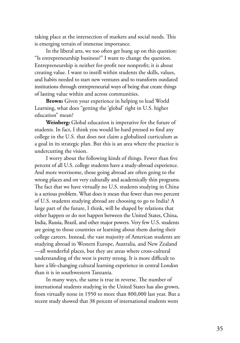taking place at the intersection of markets and social needs. This is emerging terrain of immense importance.

In the liberal arts, we too often get hung up on this question: "Is entrepreneurship business?" I want to change the question. Entrepreneurship is neither for-profit nor nonprofit; it is about creating value. I want to instill within students the skills, values, and habits needed to start new ventures and to transform outdated institutions through entrepreneurial ways of being that create things of lasting value within and across communities.

**Brown:** Given your experience in helping to lead World Learning, what does "getting the 'global' right in U.S. higher education" mean?

**Weinberg:** Global education is imperative for the future of students. In fact, I think you would be hard pressed to find any college in the U.S. that does not claim a globalized curriculum as a goal in its strategic plan. But this is an area where the practice is undercutting the vision.

I worry about the following kinds of things. Fewer than five percent of all U.S. college students have a study-abroad experience. And more worrisome, those going abroad are often going to the wrong places and on very culturally and academically thin programs. The fact that we have virtually no U.S. students studying in China is a serious problem. What does it mean that fewer than two percent of U.S. students studying abroad are choosing to go to India? A large part of the future, I think, will be shaped by relations that either happen or do not happen between the United States, China, India, Russia, Brazil, and other major powers. Very few U.S. students are going to those countries or learning about them during their college careers. Instead, the vast majority of American students are studying abroad in Western Europe, Australia, and New Zealand —all wonderful places, but they are areas where cross-cultural understanding of the west is pretty strong. It is more difficult to have a life-changing cultural learning experience in central London than it is in southwestern Tanzania.

In many ways, the same is true in reverse. The number of international students studying in the United States has also grown, from virtually none in 1950 to more than 800,000 last year. But a recent study showed that 38 percent of international students went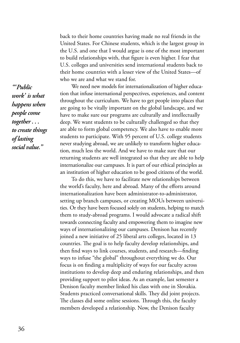back to their home countries having made no real friends in the United States. For Chinese students, which is the largest group in the U.S. and one that I would argue is one of the most important to build relationships with, that figure is even higher. I fear that U.S. colleges and universities send international students back to their home countries with a lesser view of the United States—of who we are and what we stand for.

We need new models for internationalization of higher education that infuse international perspectives, experiences, and content throughout the curriculum. We have to get people into places that are going to be vitally important on the global landscape, and we have to make sure our programs are culturally and intellectually deep. We want students to be culturally challenged so that they are able to form global competency. We also have to enable more students to participate. With 95 percent of U.S. college students never studying abroad, we are unlikely to transform higher education, much less the world. And we have to make sure that our returning students are well integrated so that they are able to help internationalize our campuses. It is part of our ethical principles as an institution of higher education to be good citizens of the world.

To do this, we have to facilitate new relationships between the world's faculty, here and abroad. Many of the efforts around internationalization have been administrator-to-administrator, setting up branch campuses, or creating MOUs between universities. Or they have been focused solely on students, helping to match them to study-abroad programs. I would advocate a radical shift towards connecting faculty and empowering them to imagine new ways of internationalizing our campuses. Denison has recently joined a new initiative of 25 liberal arts colleges, located in 13 countries. The goal is to help faculty develop relationships, and then find ways to link courses, students, and research—finding ways to infuse "the global" throughout everything we do. Our focus is on finding a multiplicity of ways for our faculty across institutions to develop deep and enduring relationships, and then providing support to pilot ideas. As an example, last semester a Denison faculty member linked his class with one in Slovakia. Students practiced conversational skills. They did joint projects. The classes did some online sessions. Through this, the faculty members developed a relationship. Now, the Denison faculty

*"'Public work' is what happens when people come together . . . to create things of lasting social value."*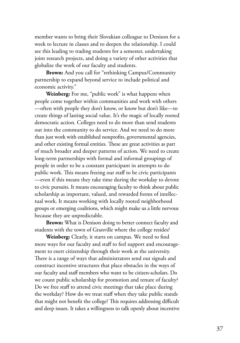member wants to bring their Slovakian colleague to Denison for a week to lecture in classes and to deepen the relationship. I could see this leading to trading students for a semester, undertaking joint research projects, and doing a variety of other activities that globalize the work of our faculty and students.

**Brown:** And you call for "rethinking Campus/Community partnership to expand beyond service to include political and economic activity."

**Weinberg:** For me, "public work" is what happens when people come together within communities and work with others —often with people they don't know, or know but don't like—to create things of lasting social value. It's the magic of locally rooted democratic action. Colleges need to do more than send students out into the community to do service. And we need to do more than just work with established nonprofits, governmental agencies, and other existing formal entities. These are great activities as part of much broader and deeper patterns of action. We need to create long-term partnerships with formal and informal groupings of people in order to be a constant participant in attempts to do public work. This means freeing our staff to be civic participants —even if this means they take time during the workday to devote to civic pursuits. It means encouraging faculty to think about public scholarship as important, valued, and rewarded forms of intellectual work. It means working with locally rooted neighborhood groups or emerging coalitions, which might make us a little nervous because they are unpredictable.

**Brown:** What is Denison doing to better connect faculty and students with the town of Granville where the college resides?

**Weinberg:** Clearly, it starts on campus. We need to find more ways for our faculty and staff to feel support and encouragement to exert citizenship through their work at the university. There is a range of ways that administrators send out signals and construct incentive structures that place obstacles in the ways of our faculty and staff members who want to be citizen-scholars. Do we count public scholarship for promotion and tenure of faculty? Do we free staff to attend civic meetings that take place during the workday? How do we treat staff when they take public stands that might not benefit the college? This requires addressing difficult and deep issues. It takes a willingness to talk openly about incentive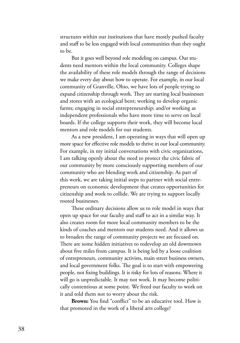structures within our institutions that have mostly pushed faculty and staff to be less engaged with local communities than they ought to be.

But it goes well beyond role modeling on campus. Our students need mentors within the local community. Colleges shape the availability of these role models through the range of decisions we make every day about how to operate. For example, in our local community of Granville, Ohio, we have lots of people trying to expand citizenship through work. They are starting local businesses and stores with an ecological bent; working to develop organic farms; engaging in social entrepreneurship; and/or working as independent professionals who have more time to serve on local boards. If the college supports their work, they will become local mentors and role models for our students.

As a new president, I am operating in ways that will open up more space for effective role models to thrive in our local community. For example, in my initial conversations with civic organizations, I am talking openly about the need to protect the civic fabric of our community by more consciously supporting members of our community who are blending work and citizenship. As part of this work, we are taking initial steps to partner with social entrepreneurs on economic development that creates opportunities for citizenship and work to collide. We are trying to support locally rooted businesses.

These ordinary decisions allow us to role model in ways that open up space for our faculty and staff to act in a similar way. It also creates room for more local community members to be the kinds of coaches and mentors our students need. And it allows us to broaden the range of community projects we are focused on. There are some hidden initiatives to redevelop an old downtown about five miles from campus. It is being led by a loose coalition of entrepreneurs, community activists, main street business owners, and local government folks. The goal is to start with empowering people, not fixing buildings. It is risky for lots of reasons. Where it will go is unpredictable. It may not work. It may become politically contentious at some point. We freed our faculty to work on it and told them not to worry about the risk.

**Brown:** You find "conflict" to be an educative tool. How is that promoted in the work of a liberal arts college?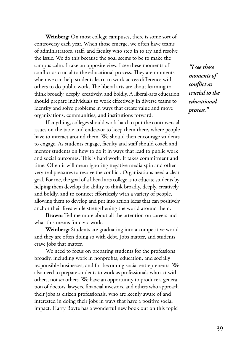**Weinberg:** On most college campuses, there is some sort of controversy each year. When those emerge, we often have teams of administrators, staff, and faculty who step in to try and resolve the issue. We do this because the goal seems to be to make the campus calm. I take an opposite view. I see these moments of conflict as crucial to the educational process. They are moments when we can help students learn to work across difference with others to do public work. The liberal arts are about learning to think broadly, deeply, creatively, and boldly. A liberal-arts education should prepare individuals to work effectively in diverse teams to identify and solve problems in ways that create value and move organizations, communities, and institutions forward.

If anything, colleges should work hard to put the controversial issues on the table and endeavor to keep them there, where people have to interact around them. We should then encourage students to engage. As students engage, faculty and staff should coach and mentor students on how to do it in ways that lead to public work and social outcomes. This is hard work. It takes commitment and time. Often it will mean ignoring negative media spin and other very real pressures to resolve the conflict. Organizations need a clear goal. For me, the goal of a liberal arts college is to educate students by helping them develop the ability to think broadly, deeply, creatively, and boldly, and to connect effortlessly with a variety of people, allowing them to develop and put into action ideas that can positively anchor their lives while strengthening the world around them.

**Brown:** Tell me more about all the attention on careers and what this means for civic work.

**Weinberg:** Students are graduating into a competitive world and they are often doing so with debt. Jobs matter, and students crave jobs that matter.

We need to focus on preparing students for the professions broadly, including work in nonprofits, education, and socially responsible businesses, and for becoming social entrepreneurs. We also need to prepare students to work as professionals who act with others, not *on* others. We have an opportunity to produce a generation of doctors, lawyers, financial investors, and others who approach their jobs as citizen professionals, who are keenly aware of and interested in doing their jobs in ways that have a positive social impact. Harry Boyte has a wonderful new book out on this topic!

*"I see these moments of conflict as crucial to the educational process."*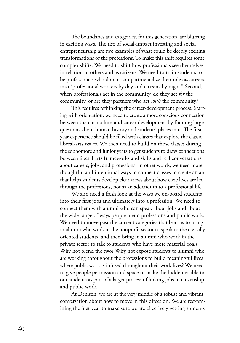The boundaries and categories, for this generation, are blurring in exciting ways. The rise of social-impact investing and social entrepreneurship are two examples of what could be deeply exciting transformations of the professions. To make this shift requires some complex shifts. We need to shift how professionals see themselves in relation to others and as citizens. We need to train students to be professionals who do not compartmentalize their roles as citizens into "professional workers by day and citizens by night." Second, when professionals act in the community, do they act *for* the community, or are they partners who act *with* the community?

This requires rethinking the career-development process. Starting with orientation, we need to create a more conscious connection between the curriculum and career development by framing large questions about human history and students' places in it. The firstyear experience should be filled with classes that explore the classic liberal-arts issues. We then need to build on those classes during the sophomore and junior years to get students to draw connections between liberal arts frameworks and skills and real conversations about careers, jobs, and professions. In other words, we need more thoughtful and intentional ways to connect classes to create an arc that helps students develop clear views about how civic lives are led through the professions, not as an addendum to a professional life.

We also need a fresh look at the ways we on-board students into their first jobs and ultimately into a profession. We need to connect them with alumni who can speak about jobs and about the wide range of ways people blend professions and public work. We need to move past the current categories that lead us to bring in alumni who work in the nonprofit sector to speak to the civically oriented students, and then bring in alumni who work in the private sector to talk to students who have more material goals. Why not blend the two? Why not expose students to alumni who are working throughout the professions to build meaningful lives where public work is infused throughout their work lives? We need to give people permission and space to make the hidden visible to our students as part of a larger process of linking jobs to citizenship and public work.

At Denison, we are at the very middle of a robust and vibrant conversation about how to move in this direction. We are reexamining the first year to make sure we are effectively getting students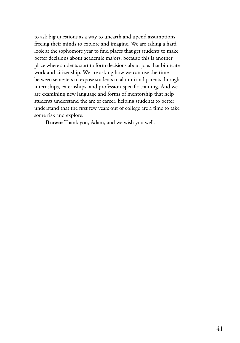to ask big questions as a way to unearth and upend assumptions, freeing their minds to explore and imagine. We are taking a hard look at the sophomore year to find places that get students to make better decisions about academic majors, because this is another place where students start to form decisions about jobs that bifurcate work and citizenship. We are asking how we can use the time between semesters to expose students to alumni and parents through internships, externships, and profession-specific training. And we are examining new language and forms of mentorship that help students understand the arc of career, helping students to better understand that the first few years out of college are a time to take some risk and explore.

**Brown:** Thank you, Adam, and we wish you well.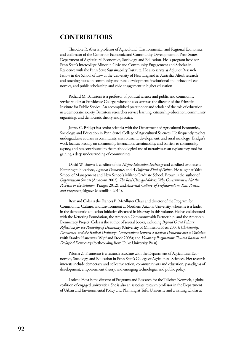### **CONTRIBUTORS**

Theodore R. Alter is professor of Agricultural, Environmental, and Regional Economics and codirector of the Center for Economic and Community Development in Penn State's Department of Agricultural Economics, Sociology, and Education. He is program head for Penn State's Intercollege Minor in Civic and Community Engagement and Scholar-in-Residence with the Penn State Sustainability Institute. He also serves as Adjunct Research Fellow in the School of Law at the University of New England in Australia. Alter's research and teaching focus on community and rural development, institutional and behavioral economics, and public scholarship and civic engagement in higher education.

Richard M. Battistoni is a professor of political science and public and community service studies at Providence College, where he also serves as the director of the Feinstein Institute for Public Service. An accomplished practitioner and scholar of the role of education in a democratic society, Battistoni researches service learning, citizenship education, community organizing, and democratic theory and practice.

Jeffrey C. Bridger is a senior scientist with the Department of Agricultural Economics, Sociology, and Education in Penn State's College of Agricultural Sciences. He frequently teaches undergraduate courses in community, environment, development, and rural sociology. Bridger's work focuses broadly on community interaction, sustainability, and barriers to community agency, and has contributed to the methodological use of narratives as an explanatory tool for gaining a deep understanding of communities.

David W. Brown is coeditor of the *Higher Education Exchange* and coedited two recent Kettering publications, *Agent of Democracy* and *A Different Kind of Politics*. He taught at Yale's School of Management and New School's Milano Graduate School. Brown is the author of *Organization Smarts* (Amacom 2002), *The Real Change-Makers: Why Government is Not the Problem or the Solution* (Praeger 2012), and *America's Culture of Professionalism: Past, Present, and Prospects* (Palgrave Macmillan 2014).

Romand Coles is the Frances B. McAllister Chair and director of the Program for Community, Culture, and Environment at Northern Arizona University, where he is a leader in the democratic education initiative discussed in his essay in this volume. He has collaborated with the Kettering Foundation, the American Commonwealth Partnership, and the American Democracy Project. Coles is the author of several books, including *Beyond Gated Politics: Reflections for the Possibility of Democracy* (University of Minnesota Press 2005); *Christianity, Democracy, and the Radical Ordinary: Conversations between a Radical Democrat and a Christian* (with Stanley Hauerwas, Wipf and Stock 2008); and *Visionary Pragmatism: Toward Radical and Ecological Democracy* (forthcoming from Duke University Press).

Paloma Z. Frumento is a research associate with the Department of Agricultural Economics, Sociology, and Education in Penn State's College of Agricultural Sciences. Her research interests include democracy and collective action, community arts and education, paradigms of development, empowerment theory, and emerging technologies and public policy.

Lorlene Hoyt is the director of Programs and Research for the Talloires Network, a global coalition of engaged universities. She is also an associate research professor in the Department of Urban and Environmental Policy and Planning at Tufts University and a visiting scholar at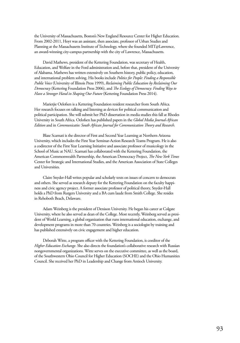the University of Massachusetts, Boston's New England Resource Center for Higher Education. From 2002-2011, Hoyt was an assistant, then associate, professor of Urban Studies and Planning at the Massachusetts Institute of Technology, where she founded MIT@Lawrence, an award-winning city-campus partnership with the city of Lawrence, Massachusetts.

David Mathews, president of the Kettering Foundation, was secretary of Health, Education, and Welfare in the Ford administration and, before that, president of the University of Alabama. Mathews has written extensively on Southern history, public policy, education, and international problem solving. His books include *Politics for People: Finding a Responsible Public Voice* (University of Illinois Press 1999), *Reclaiming Public Education by Reclaiming Our Democracy* (Kettering Foundation Press 2006), and *The Ecology of Democracy: Finding Ways to Have a Stronger Hand in Shaping Our Future* (Kettering Foundation Press 2014).

Marietjie Oelofsen is a Kettering Foundation resident researcher from South Africa. Her research focuses on talking and listening as devices for political communication and political participation. She will submit her PhD dissertation in media studies this fall at Rhodes University in South Africa. Oelofsen has published papers in the *Global Media Journal-African Edition* and in *Communicatio: South African Journal for Communication Theory and Research*.

Blase Scarnati is the director of First and Second Year Learning at Northern Arizona University, which includes the First Year Seminar-Action Research Teams Program. He is also a codirector of the First Year Learning Initiative and associate professor of musicology in the School of Music at NAU. Scarnati has collaborated with the Kettering Foundation, the American Commonwealth Partnership, the American Democracy Project, *The New York Times* Center for Strategic and International Studies, and the American Association of State Colleges and Universities.

Claire Snyder-Hall writes popular and scholarly texts on issues of concern to democrats and others. She served as research deputy for the Kettering Foundation on the faculty happiness and civic agency project. A former associate professor of political theory, Snyder-Hall holds a PhD from Rutgers University and a BA cum laude from Smith College. She resides in Rehoboth Beach, Delaware.

Adam Weinberg is the president of Denison University. He began his career at Colgate University, where he also served as dean of the College. Most recently, Weinberg served as president of World Learning, a global organization that runs international education, exchange, and development programs in more than 70 countries. Weinberg is a sociologist by training and has published extensively on civic engagement and higher education.

Deborah Witte, a program officer with the Kettering Foundation, is coeditor of the *Higher Education Exchange*. She also directs the foundation's collaborative research with Russian nongovernmental organizations. Witte serves on the executive committee, as well as the board, of the Southwestern Ohio Council for Higher Education (SOCHE) and the Ohio Humanities Council. She received her PhD in Leadership and Change from Antioch University.